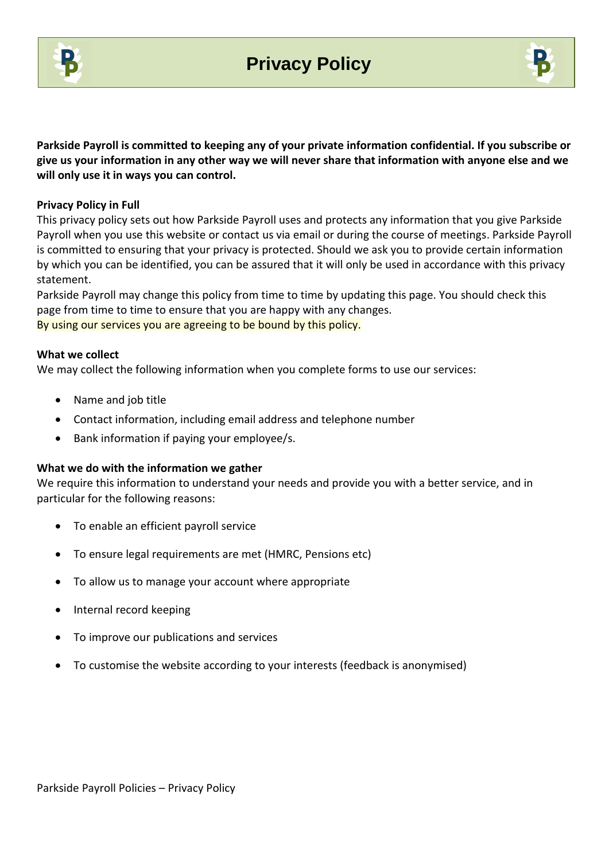



**Parkside Payroll is committed to keeping any of your private information confidential. If you subscribe or give us your information in any other way we will never share that information with anyone else and we will only use it in ways you can control.** 

## **Privacy Policy in Full**

This privacy policy sets out how Parkside Payroll uses and protects any information that you give Parkside Payroll when you use this website or contact us via email or during the course of meetings. Parkside Payroll is committed to ensuring that your privacy is protected. Should we ask you to provide certain information by which you can be identified, you can be assured that it will only be used in accordance with this privacy statement.

Parkside Payroll may change this policy from time to time by updating this page. You should check this page from time to time to ensure that you are happy with any changes. By using our services you are agreeing to be bound by this policy.

#### **What we collect**

We may collect the following information when you complete forms to use our services:

- Name and job title
- Contact information, including email address and telephone number
- Bank information if paying your employee/s.

#### **What we do with the information we gather**

We require this information to understand your needs and provide you with a better service, and in particular for the following reasons:

- To enable an efficient payroll service
- To ensure legal requirements are met (HMRC, Pensions etc)
- To allow us to manage your account where appropriate
- Internal record keeping
- To improve our publications and services
- To customise the website according to your interests (feedback is anonymised)